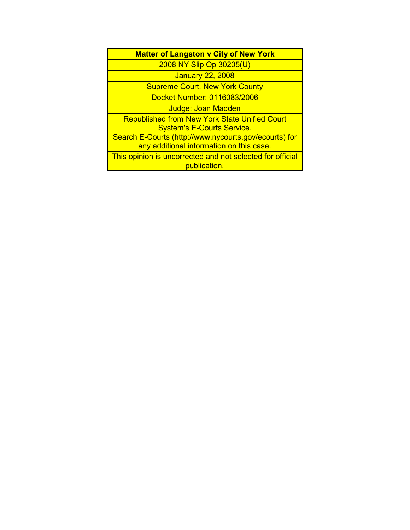| <b>Matter of Langston v City of New York</b>                                                      |  |
|---------------------------------------------------------------------------------------------------|--|
| 2008 NY Slip Op 30205(U)                                                                          |  |
| <b>January 22, 2008</b>                                                                           |  |
| <b>Supreme Court, New York County</b>                                                             |  |
| Docket Number: 0116083/2006                                                                       |  |
| Judge: Joan Madden                                                                                |  |
| <b>Republished from New York State Unified Court</b><br><b>System's E-Courts Service.</b>         |  |
| Search E-Courts (http://www.nycourts.gov/ecourts) for<br>any additional information on this case. |  |
| This opinion is uncorrected and not selected for official<br>publication.                         |  |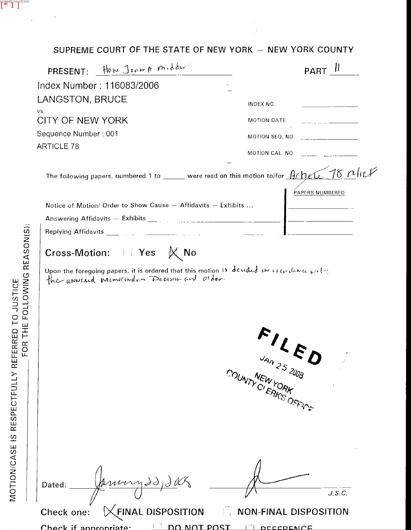# SUPREME COURT OF THE STATE OF NEW YORK - NEW YORK COUNTY

| PRESENT: HOW JOAN A. Midder                                                                                                                | <br><b>PART</b>                                                                                                                                                                                                                                                                                                                                                                                           |
|--------------------------------------------------------------------------------------------------------------------------------------------|-----------------------------------------------------------------------------------------------------------------------------------------------------------------------------------------------------------------------------------------------------------------------------------------------------------------------------------------------------------------------------------------------------------|
| Index Number: 116083/2006                                                                                                                  |                                                                                                                                                                                                                                                                                                                                                                                                           |
| LANGSTON, BRUCE                                                                                                                            | INDEX NO.                                                                                                                                                                                                                                                                                                                                                                                                 |
| VS.<br>CITY OF NEW YORK                                                                                                                    | MOTION DATE                                                                                                                                                                                                                                                                                                                                                                                               |
| Sequence Number: 001                                                                                                                       | MOTION SEQ. NO. $\begin{array}{ c c c c c }\n\hline\n\text{MOTION} & \text{SEQ. NO.} & \text{SUS} & \text{SUS} & \text{SUS} & \text{SUS} & \text{SUS} & \text{SUS} & \text{SUS} & \text{SUS} & \text{SUS} & \text{SUS} & \text{SUS} & \text{SUS} & \text{SUS} & \text{SUS} & \text{SUS} & \text{SUS} & \text{SUS} & \text{SUS} & \text{SUS} & \text{SUS} & \text{SUS} & \text{SUS} & \text{SUS} & \text{$ |
| <b>ARTICLE 78</b>                                                                                                                          | MOTION CAL. NO. $\frac{1}{2}$                                                                                                                                                                                                                                                                                                                                                                             |
| The following papers, numbered 1 to _____ were read on this motion to/for $\partial f$ $\partial f$ $\partial f$ $\partial f$ $\partial f$ |                                                                                                                                                                                                                                                                                                                                                                                                           |
| Notice of Motion/ Order to Show Cause - Affidavits - Exhibits                                                                              | PAPERS NUMBERED                                                                                                                                                                                                                                                                                                                                                                                           |
|                                                                                                                                            |                                                                                                                                                                                                                                                                                                                                                                                                           |
|                                                                                                                                            |                                                                                                                                                                                                                                                                                                                                                                                                           |
| Cross-Motion: I Yes $M \bowtie N$                                                                                                          |                                                                                                                                                                                                                                                                                                                                                                                                           |
| Upon the foregoing papers, it is ordered that this motion is decided in allocationed outer.                                                | $\frac{1}{\sqrt{3}}$<br>JAN 25 2008<br>MUNTY CLERKS OFFICE                                                                                                                                                                                                                                                                                                                                                |
| Jeruny 20, 200<br>Dated:<br>FINAL DISPOSITION<br>Check one:                                                                                | J.S.C.<br><b>NON-FINAL DISPOSITION</b>                                                                                                                                                                                                                                                                                                                                                                    |

 $\Box$  DO NOT POST  $\Box$  DECEDENCE

Check if annropriate:

SCANNED ON 125/2008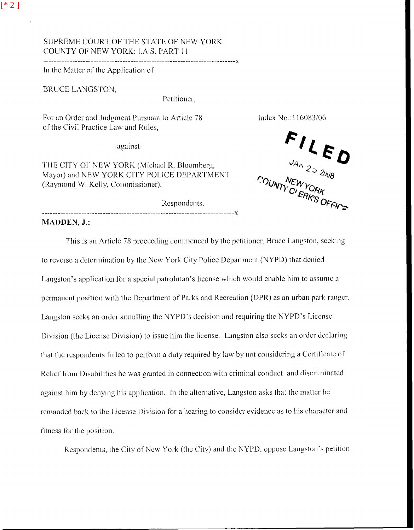## SUPREME COURT OF THE STATE OF NEW YORK COUNTY OF NEW YORK: LA.S. PART 11

In the Matter of the Application of

BRUCE LANGSTON,

Petitioner.

For an Order and Judgment Pursuant to Article 78 of the Civil Practice Law and Rules.

-against-

THE CITY OF NEW YORK (Michael R. Bloomberg, Mayor) and NEW YORK CITY POLICE DEPARTMENT (Raymond W. Kelly, Commissioner),

Index No.:116083/06

**FILED** 

Respondents, 

MADDEN, J.:

This is an Article 78 proceeding commenced by the petitioner, Bruce Langston, seeking to reverse a determination by the New York City Police Department (NYPD) that denied Langston's application for a special patrolman's license which would enable him to assume a permanent position with the Department of Parks and Recreation (DPR) as an urban park ranger. Langston seeks an order annulling the NYPD's decision and requiring the NYPD's License Division (the License Division) to issue him the license. Langston also seeks an order declaring that the respondents failed to perform a duty required by law by not considering a Certificate of Relief from Disabilities he was granted in connection with criminal conduct and discriminated against him by denying his application. In the alternative, Langston asks that the matter be remanded back to the License Division for a hearing to consider evidence as to his character and fitness for the position.

Respondents, the City of New York (the City) and the NYPD, oppose Langston's petition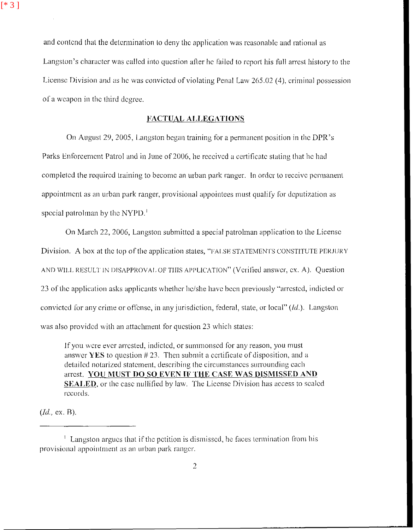$[ * 3 ]$ 

and contend that the determination to deny the application was reasonable and rational as Langston's character was called into question after he failed to report his full arrest history to the License Division and as he was convicted of violating Penal Law 265.02 (4), criminal possession of a weapon in the third degree.

### **FACTUAL ALLEGATIONS**

On August 29, 2005, Langston began training for a permanent position in the DPR's Parks Enforcement Patrol and in June of 2006, he received a certificate stating that he had completed the required training to become an urban park ranger. In order to receive permanent appointment as an urban park ranger, provisional appointees must qualify for deputization as special patrolman by the NYPD.<sup>1</sup>

On March 22, 2006, Langston submitted a special patrolman application to the License Division. A box at the top of the application states, "FALSE STATEMENTS CONSTITUTE PERJURY AND WILL RESULT IN DISAPPROVAL OF THIS APPLICATION" (Verified answer, ex. A). Question 23 of the application asks applicants whether he/she have been previously "arrested, indicted or convicted for any crime or offense, in any jurisdiction, federal, state, or local" (Id.). Langston was also provided with an attachment for question 23 which states:

If you were ever arrested, indicted, or summonsed for any reason, you must answer YES to question  $\#$  23. Then submit a certificate of disposition, and a detailed notarized statement, describing the circumstances surrounding each arrest. YOU MUST DO SO EVEN IF THE CASE WAS DISMISSED AND **SEALED**, or the case nullified by law. The License Division has access to scaled records.

 $(Id, ex. B).$ 

 $<sup>1</sup>$  Langston argues that if the petition is dismissed, he faces termination from his</sup> provisional appointment as an urban park ranger.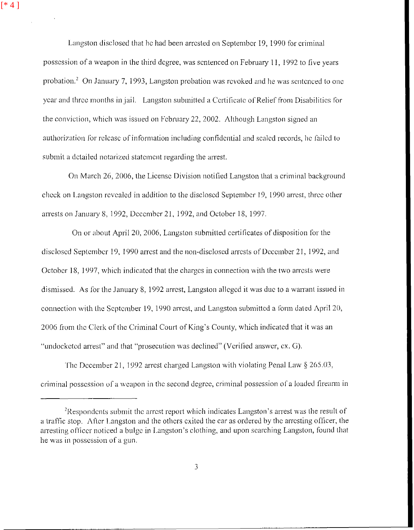$[ * 4 ]$ 

Langston disclosed that he had been arrested on September 19, 1990 for criminal possession of a weapon in the third degree, was sentenced on February 11, 1992 to five years probation.<sup>2</sup> On January 7, 1993, Langston probation was revoked and he was sentenced to one year and three months in jail. Langston submitted a Certificate of Relief from Disabilities for the conviction, which was issued on February 22, 2002. Although Langston signed an authorization for release of information including confidential and scaled records, he failed to submit a detailed notarized statement regarding the arrest.

On March 26, 2006, the License Division notified Langston that a criminal background check on Langston revealed in addition to the disclosed September 19, 1990 arrest, three other arrests on January 8, 1992, December 21, 1992, and October 18, 1997.

On or about April 20, 2006, Langston submitted certificates of disposition for the disclosed September 19, 1990 arrest and the non-disclosed arrests of December 21, 1992, and October 18, 1997, which indicated that the charges in connection with the two arrests were dismissed. **As** lor the January 8, 1932 arrcst, Langslon dlcgcd it was due to a wanant issued in connection with the September 19, 1990 arrest, and Langston submitted a form dated April 20, 2006 from the Clerk of the Criminal Court of King's County, which indicated that it was an "undockctcd arrest" and that "prosecution was declined" (Verified answer, ex. *G*).

The December 21, 1992 arrest charged Langston with violating Penal Law  $\S 265.03$ , criminal possession of a weapon in the second degree, criminal possession of a loaded firearm in

. . ...

<sup>&</sup>lt;sup>2</sup>Respondents submit the arrest report which indicates Langston's arrest was the result of a traffic stop. After Langston and the others exited the car as ordered by the arresting officer, the arresting officer noticed a bulge in Langston's clothing, and upon searching Langston, found that he was in possession of a gun.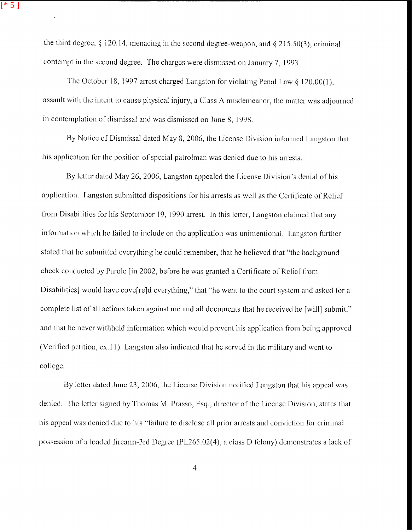the third degree,  $\S$  120.14, menacing in the second degree-weapon, and  $\S$  215.50(3), criminal contempt in the second degree. The charges were dismissed on January 7, 1993.

 $\overline{[}$  \* 5 ]

The October 18, 1997 arrest charged Langston for violating Penal Law § 120.00(1). assault with the intent to cause physical injury, a Class A misdemeanor, the matter was adjourned in contemplation of dismissal and was dismissed on June 8, 1998.

By Notice of Dismissal dated May 8, 2006, the License Division informed Langston that his application for the position of special patrolman was denied due to his arrests.

By letter dated May 26, 2006. Langston appealed the License Division's denial of his application. Langston submitted dispositions for his arrests as well as the Certificate of Relief from Disabilities for his September 19, 1990 arrest. In this letter, Langston claimed that any information which he failed to include on the application was unintentional. Langston further stated that he submitted everything he could remember, that he believed that "the background" check conducted by Parole [in 2002, before he was granted a Certificate of Relief from Disabilities] would have cove related everything," that "he went to the court system and asked for a complete list of all actions taken against me and all documents that he received he [will] submit," and that he never withheld information which would prevent his application from being approved (Verified petition, ex.11). Langston also indicated that he served in the military and went to college.

By letter dated June 23, 2006, the License Division notified Langston that his appeal was denied. The letter signed by Thomas M. Prasso, Esq., director of the License Division, states that his appeal was denied due to his "failure to disclose all prior arrests and conviction for criminal possession of a loaded firearm-3rd Degree (PL265.02(4), a class D felony) demonstrates a lack of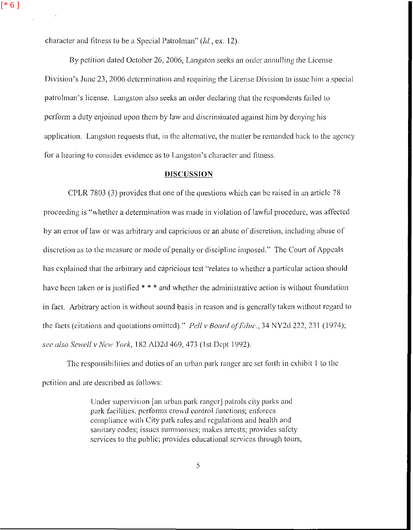$[ * 6 ]$ 

character and fitness to be a Special Patrolman" (Id., ex. 12).

By petition dated October 26, 2006, Langston seeks an order annulling the License Division's June 23, 2006 determination and requiring the License Division to issue him a special patrolman's license. Langston also seeks an order declaring that the respondents failed to perform a duty enjoined upon them by law and discriminated against him by denying his application. Langston requests that, in the alternative, the matter be remanded back to the agency for a hearing to consider evidence as to Langston's character and fitness.

#### **DISCUSSION**

CPLR 7803 (3) provides that one of the questions which can be raised in an article 78 proceeding is "whether a determination was made in violation of lawful procedure, was affected by an error of law or was arbitrary and capricious or an abuse of discretion, including abuse of discretion as to the measure or mode of penalty or discipline imposed." The Court of Appeals has explained that the arbitrary and capricious test "relates to whether a particular action should have been taken or is justified  $***$  and whether the administrative action is without foundation in fact. Arbitrary action is without sound basis in reason and is generally taken without regard to the facts (citations and quotations omitted)." Pell v Board of Educ., 34 NY2d 222, 231 (1974); see also Sewell v New York, 182 AD2d 469, 473 (1st Dept 1992).

The responsibilities and duties of an urban park ranger are set forth in exhibit 1 to the petition and are described as follows:

> Under supervision [an urban park ranger] patrols city parks and park facilities, performs crowd control functions; enforces compliance with City park rules and regulations and health and sanitary codes: issues summonses; makes arrests; provides safety services to the public; provides educational services through tours,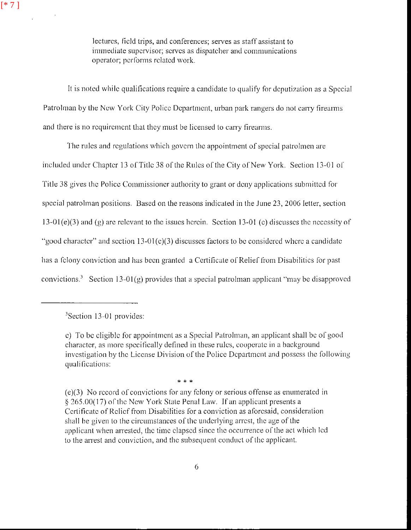lectures, field trips, and conferences; serves as staff assistant to immediate supervisor; serves as dispatcher and communications operator; performs related work.

It is noted while qualifications require a candidate to qualify for deputization as a Special Patrolman by the New York City Police Department, urban park rangers do not carry firearms and there is no requirement that they must be licensed to carry firearms.

The rules and regulations which govern the appointment of special patrolmen are included under Chapter 13 of Title 38 of the Rules of the City of New York. Section 13-01 of Title 38 gives the Police Commissioner authority to grant or deny applications submitted for special patrolman positions. Based on the reasons indicated in the June 23, 2006 letter, section  $13-01(e)(3)$  and (g) are relevant to the issues herein. Section 13-01 (e) discusses the necessity of "good character" and section 13-01(c)(3) discusses factors to be considered where a candidate has a felony conviction and has been granted a Certificate of Relief from Disabilities for past convictions.<sup>3</sup> Section 13-01(g) provides that a special patrolman applicant "may be disapproved

\* \* \*

 $3$ Section 13-01 provides:

c) To be cligible for appointment as a Special Patrolman, an applicant shall be of good character, as more specifically defined in these rules, cooperate in a background investigation by the License Division of the Police Department and possess the following qualifications:

<sup>(</sup>e)(3) No record of convictions for any felony or serious offense as enumerated in § 265.00(17) of the New York State Penal Law. If an applicant presents a Certificate of Relief from Disabilities for a conviction as aforesaid, consideration shall be given to the circumstances of the underlying arrest, the age of the applicant when arrested, the time clapsed since the occurrence of the act which led to the arrest and conviction, and the subsequent conduct of the applicant.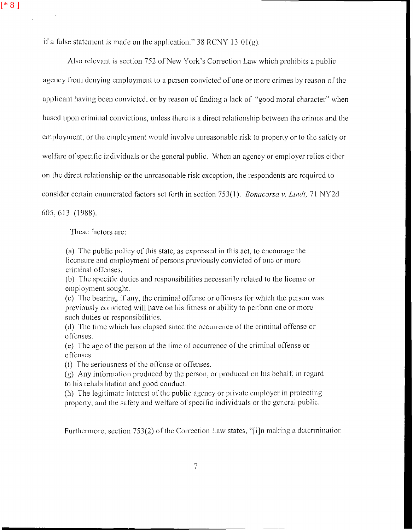if a false statement is made on the application." 38 RCNY 13-01(g).

Also relevant is section 752 of New York's Correction Law which prohibits a public agency from denying employment to a person convicted of one or more crimes by reason of the applicant having been convicted, or by reason of finding a lack of "good moral character" when based upon criminal convictions, unless there is a direct relationship between the crimes and the employment, or the employment would involve unreasonable risk to property or to the safety or welfare of specific individuals or the general public. When an agency or employer relies either on the direct relationship or the unreasonable risk exception, the respondents are required to consider certain enumerated factors set forth in section 753(1). Bonacorsa v. Lindt, 71 NY2d

605, 613 (1988).

These factors are:

(a) The public policy of this state, as expressed in this act, to encourage the licensure and employment of persons previously convicted of one or more criminal offenses.

(b) The specific duties and responsibilities necessarily related to the license or employment sought.

(c) The bearing, if any, the criminal offense or offenses for which the person was previously convicted will have on his fitness or ability to perform one or more such duties or responsibilities.

(d) The time which has clapsed since the occurrence of the criminal offense or offenses.

(e) The age of the person at the time of occurrence of the criminal offense or offenses.

(f) The seriousness of the offense or offenses.

(g) Any information produced by the person, or produced on his behalf, in regard to his rehabilitation and good conduct.

(h) The legitimate interest of the public agency or private employer in protecting property, and the safety and welfare of specific individuals or the general public.

Furthermore, section 753(2) of the Correction Law states, "[i]n making a determination

 $\overline{7}$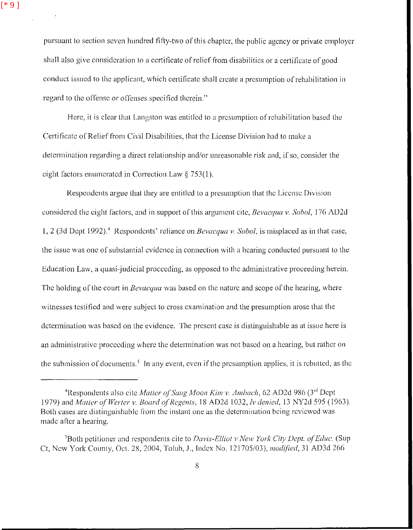pursuant to section seven hundred fifty-two of this chapter, the public agency or private employer shall also give consideration to a certificate of relief from disabilities or a certificate of good conduct issued to the applicant, which certificate shall create a presumption of rehabilitation in regard to the offense or offenses specified therein."

Here, it is clear that Langston was entitled to a presumption of rehabilitation based the Certificate of Relief from Civil Disabilities, that the License Division had to make a determination regarding a direct relationship and/or unreasonable risk and, if so, consider the eight factors enumerated in Correction Law  $\S 753(1)$ .

Respondents argue that they are entitled to a presumption that the License Division considered the eight factors, and in support of this argument cite, Bevacqua v. Sobol, 176 AD2d 1, 2 (3d Dept 1992).<sup>4</sup> Respondents' reliance on *Bevacqua v. Sobol*, is misplaced as in that case, the issue was one of substantial evidence in connection with a hearing conducted pursuant to the Education Law, a quasi-judicial proceeding, as opposed to the administrative proceeding herein. The holding of the court in *Bevacqua* was based on the nature and scope of the hearing, where witnesses testified and were subject to cross examination and the presumption arose that the determination was based on the evidence. The present case is distinguishable as at issue here is an administrative proceeding where the determination was not based on a hearing, but rather on the submission of documents.<sup>5</sup> In any event, even if the presumption applies, it is rebutted, as the

<sup>&</sup>lt;sup>4</sup>Respondents also cite Matter of Sang Moon Kim v. Ambach, 62 AD2d 986 (3<sup>rd</sup> Dent 1979) and Matter of Werter v. Board of Regents, 18 AD2d 1032, lv denied, 13 NY2d 595 (1963). Both cases are distinguishable from the instant one as the determination being reviewed was made after a hearing.

<sup>&</sup>lt;sup>5</sup>Both petitioner and respondents cite to *Davis-Elliot v New York City Dept. of Educ.* (Sup) Ct, New York County, Oct. 28, 2004, Tolub, J., Index No. 121705/03), *modified*, 31 AD3d 266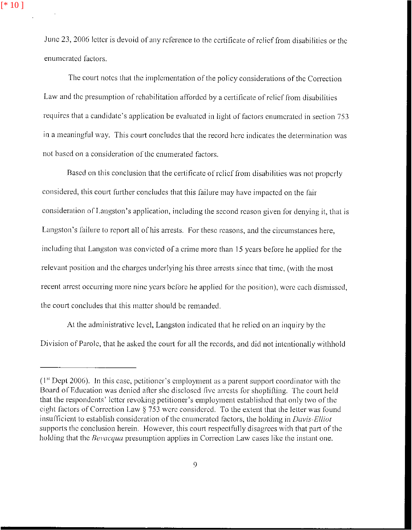June 23, 2006 letter is devoid of any reference to the certificate of relief from disabilities or the enumerated factors.

The court notes that the implementation of the policy considerations of the Correction Law and the presumption of rehabilitation afforded by a certificate of relief from disabilities requires that a candidate's application be evaluated in light of factors enumerated in section 753 in a meaningful way. This court concludes that the record here indicates the determination was not based on a consideration of the enumerated factors.

Based on this conclusion that the certificate of relief from disabilities was not properly considered, this court further concludes that this failure may have impacted on the fair consideration of Langston's application, including the second reason given for denving it, that is Langston's failure to report all of his arrests. For these reasons, and the circumstances here, including that Langston was convicted of a crime more than 15 years before he applied for the relevant position and the charges underlying his three arrests since that time, (with the most recent arrest occurring more nine years before he applied for the position), were each dismissed. the court concludes that this matter should be remanded.

At the administrative level, Langston indicated that he relied on an inquiry by the Division of Parole, that he asked the court for all the records, and did not intentionally withhold

 $(1<sup>st</sup>$  Dept 2006). In this case, petitioner's employment as a parent support coordinator with the Board of Education was denied after she disclosed five arrests for shoplifting. The court held that the respondents' letter revoking petitioner's employment established that only two of the eight factors of Correction Law § 753 were considered. To the extent that the letter was found insufficient to establish consideration of the enumerated factors, the holding in Davis-Elliot supports the conclusion herein. However, this court respectfully disagrees with that part of the holding that the *Bevacqua* presumption applies in Correction Law cases like the instant one.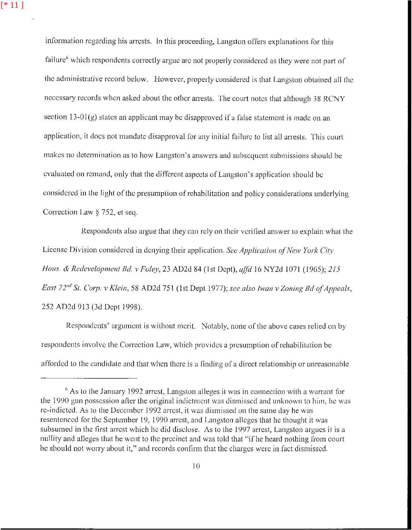information regarding his arrests. In this proceeding, Langston offers explanations for this failure<sup>6</sup> which respondents correctly argue are not properly considered as they were not part of the administrative record below. However, properly considered is that Langston obtained all the necessary records when asked about the other arrests. The court notes that although 38 RCNY section  $13-01(g)$  states an applicant may be disapproved if a false statement is made on an application, it does not mandate disapproval for any initial failure to list all arrests. This court makes no determination as to how Langston's answers and subsequent submissions should be evaluated on remand, only that the different aspects of Langston's application should be considered in the light of the presumption of rehabilitation and policy considerations underlying Correction Law § 752, et seq.

Respondents also argue that they can rely on their verified answer to explain what the License Division considered in denying their application. See Application of New York City Hous. & Redevelopment Bd. v Foley, 23 AD2d 84 (1st Dept), affd 16 NY2d 1071 (1965); 215 East 72"d St. Corp. v Klein, 58 AD2d 751 (1st Dept 1977); see also Iwan v Zoning Bd of Appeals, 252 AD2d 913 (3d Dept 1998).

Respondents' argument is without merit. Notably, none of the above cases relied on by respondents involve the Correction Law, which provides a presumption of rehabilitation be afforded to the candidate and that when there is a finding of a direct relationship or unreasonable

 $<sup>6</sup>$  As to the January 1992 arrest, Langston alleges it was in connection with a warrant for</sup> the 1990 gun possession after the original indictment was dismissed and unknown to him, he was re-indicted. As to the December 1992 arrest, it was dismissed on the same day he was resentenced for the September 19, 1990 arrest, and Langston alleges that he thought it was subsumed in the first arrest which he did disclose. As to the 1997 arrest, Langston argues it is a nullity and alleges that he went to the precinct and was told that "if he heard nothing from court he should not worry about it," and records confirm that the charges were in fact dismissed.